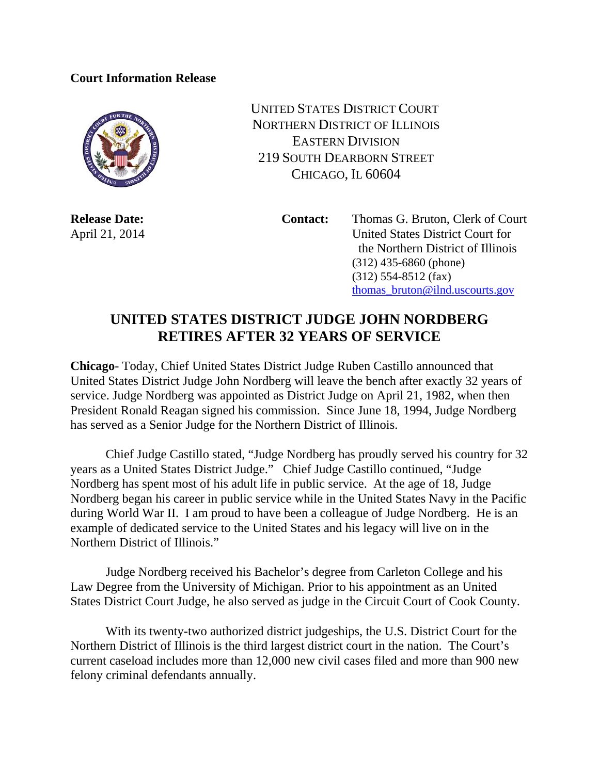## **Court Information Release**



UNITED STATES DISTRICT COURT NORTHERN DISTRICT OF ILLINOIS EASTERN DIVISION 219 SOUTH DEARBORN STREET CHICAGO, IL 60604

**Release Date: Contact:** Thomas G. Bruton, Clerk of Court April 21, 2014 United States District Court for the Northern District of Illinois (312) 435-6860 (phone) (312) 554-8512 (fax) thomas\_bruton@ilnd.uscourts.gov

## **UNITED STATES DISTRICT JUDGE JOHN NORDBERG RETIRES AFTER 32 YEARS OF SERVICE**

**Chicago**- Today, Chief United States District Judge Ruben Castillo announced that United States District Judge John Nordberg will leave the bench after exactly 32 years of service. Judge Nordberg was appointed as District Judge on April 21, 1982, when then President Ronald Reagan signed his commission. Since June 18, 1994, Judge Nordberg has served as a Senior Judge for the Northern District of Illinois.

Chief Judge Castillo stated, "Judge Nordberg has proudly served his country for 32 years as a United States District Judge." Chief Judge Castillo continued, "Judge Nordberg has spent most of his adult life in public service. At the age of 18, Judge Nordberg began his career in public service while in the United States Navy in the Pacific during World War II. I am proud to have been a colleague of Judge Nordberg. He is an example of dedicated service to the United States and his legacy will live on in the Northern District of Illinois."

Judge Nordberg received his Bachelor's degree from Carleton College and his Law Degree from the University of Michigan. Prior to his appointment as an United States District Court Judge, he also served as judge in the Circuit Court of Cook County.

With its twenty-two authorized district judgeships, the U.S. District Court for the Northern District of Illinois is the third largest district court in the nation. The Court's current caseload includes more than 12,000 new civil cases filed and more than 900 new felony criminal defendants annually.